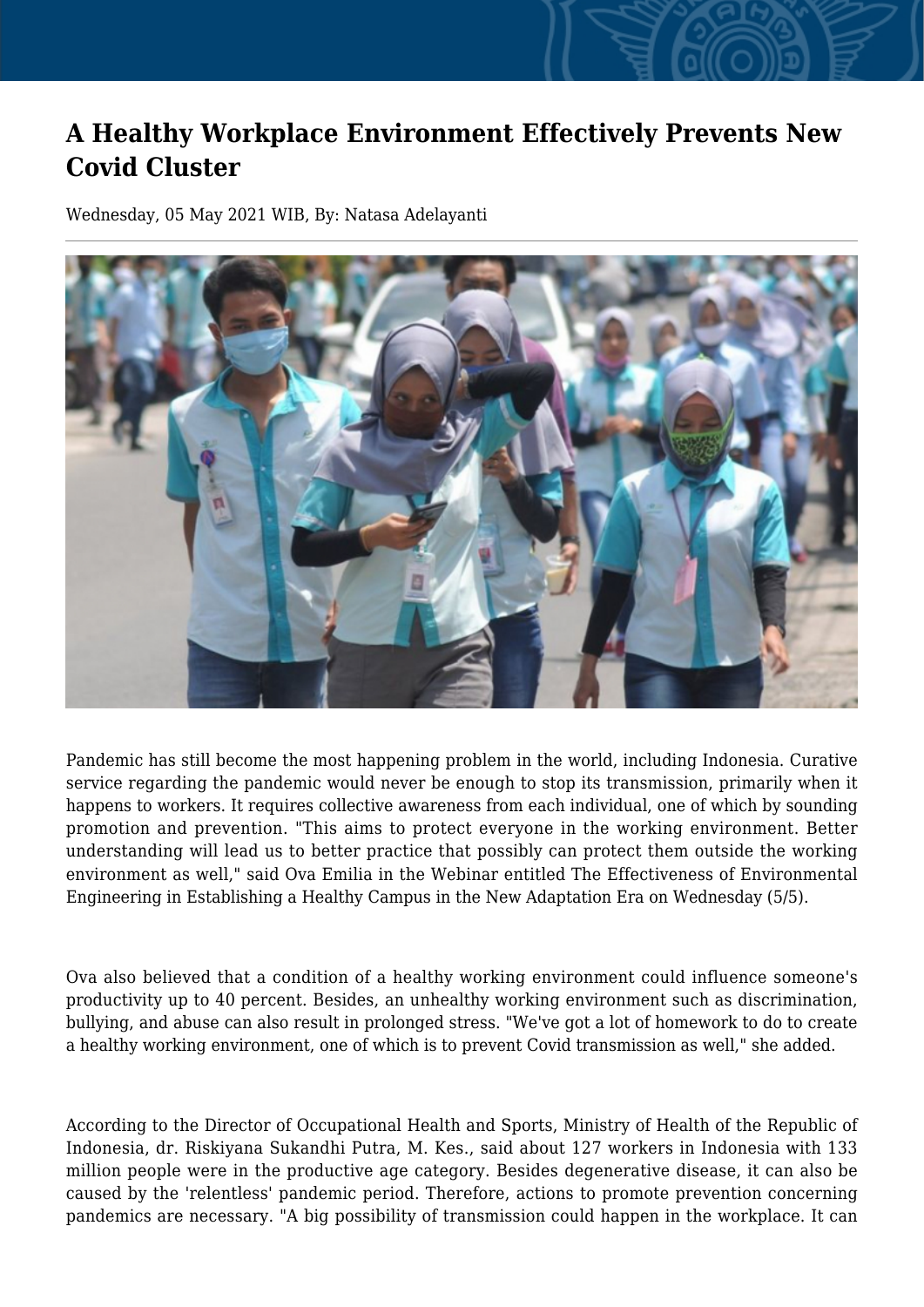## **A Healthy Workplace Environment Effectively Prevents New Covid Cluster**

Wednesday, 05 May 2021 WIB, By: Natasa Adelayanti



Pandemic has still become the most happening problem in the world, including Indonesia. Curative service regarding the pandemic would never be enough to stop its transmission, primarily when it happens to workers. It requires collective awareness from each individual, one of which by sounding promotion and prevention. "This aims to protect everyone in the working environment. Better understanding will lead us to better practice that possibly can protect them outside the working environment as well," said Ova Emilia in the Webinar entitled The Effectiveness of Environmental Engineering in Establishing a Healthy Campus in the New Adaptation Era on Wednesday (5/5).

Ova also believed that a condition of a healthy working environment could influence someone's productivity up to 40 percent. Besides, an unhealthy working environment such as discrimination, bullying, and abuse can also result in prolonged stress. "We've got a lot of homework to do to create a healthy working environment, one of which is to prevent Covid transmission as well," she added.

According to the Director of Occupational Health and Sports, Ministry of Health of the Republic of Indonesia, dr. Riskiyana Sukandhi Putra, M. Kes., said about 127 workers in Indonesia with 133 million people were in the productive age category. Besides degenerative disease, it can also be caused by the 'relentless' pandemic period. Therefore, actions to promote prevention concerning pandemics are necessary. "A big possibility of transmission could happen in the workplace. It can